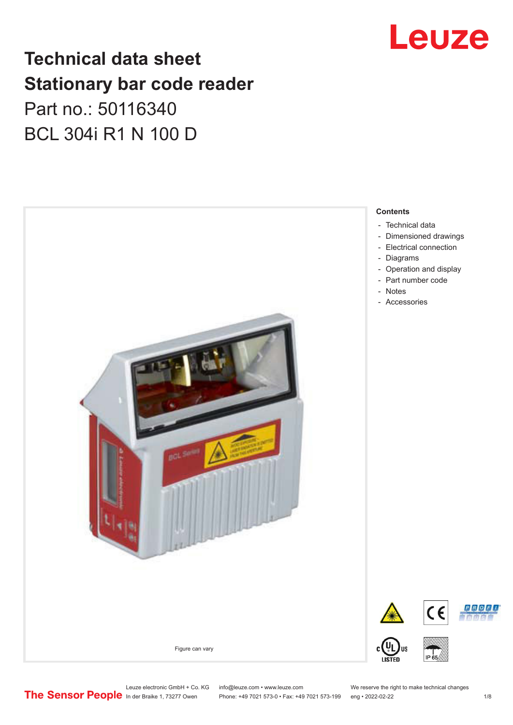# **Technical data sheet Stationary bar code reader** Part no.: 50116340 BCL 304i R1 N 100 D



# Leuze

**Contents**

- [Dimensioned drawings](#page-2-0)
- [Electrical connection](#page-3-0)
- [Operation and display](#page-3-0)

Leuze electronic GmbH + Co. KG info@leuze.com • www.leuze.com We reserve the right to make technical changes<br>
The Sensor People in der Braike 1, 73277 Owen Phone: +49 7021 573-0 • Fax: +49 7021 573-199 eng • 2022-02-22

Phone: +49 7021 573-0 • Fax: +49 7021 573-199 eng • 2022-02-22 1 /8

**PROFU**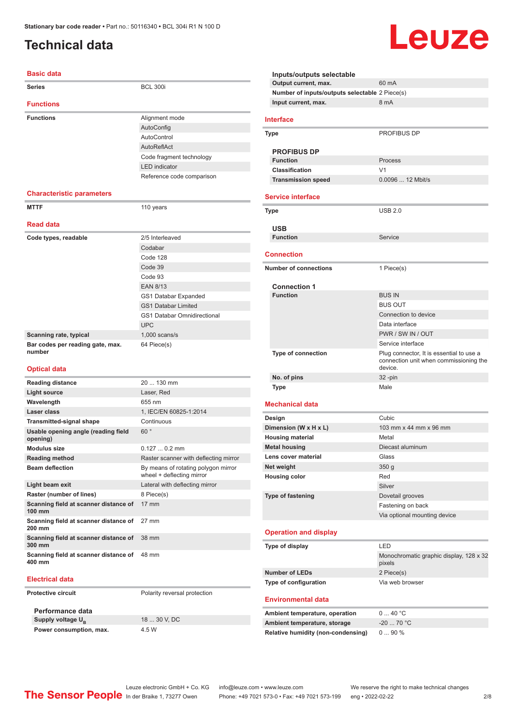## <span id="page-1-0"></span>**Technical data**

#### **Basic data**

| <b>Series</b>                              | <b>BCL 300i</b>             |
|--------------------------------------------|-----------------------------|
| <b>Functions</b>                           |                             |
| <b>Functions</b>                           | Alignment mode              |
|                                            | AutoConfig                  |
|                                            | AutoControl                 |
|                                            | AutoReflAct                 |
|                                            | Code fragment technology    |
|                                            | <b>LED</b> indicator        |
|                                            | Reference code comparison   |
| <b>Characteristic parameters</b>           |                             |
| <b>MTTF</b>                                | 110 years                   |
| <b>Read data</b>                           |                             |
|                                            |                             |
| Code types, readable                       | 2/5 Interleaved             |
|                                            | Codabar                     |
|                                            | Code 128                    |
|                                            | Code 39                     |
|                                            | Code 93                     |
|                                            | <b>EAN 8/13</b>             |
|                                            | GS1 Databar Expanded        |
|                                            | <b>GS1 Databar Limited</b>  |
|                                            | GS1 Databar Omnidirectional |
|                                            | <b>UPC</b>                  |
| Scanning rate, typical                     | $1,000$ scans/s             |
| Bar codes per reading gate, max.<br>number | 64 Piece(s)                 |
| <b>Optical data</b>                        |                             |
| <b>Reading distance</b>                    | 20  130 mm                  |
| <b>Literature</b>                          | $L = 22.5$                  |

| <b>Light source</b>                                       | Laser, Red                                                       |
|-----------------------------------------------------------|------------------------------------------------------------------|
| Wavelength                                                | 655 nm                                                           |
| Laser class                                               | 1, IEC/EN 60825-1:2014                                           |
| <b>Transmitted-signal shape</b>                           | Continuous                                                       |
| Usable opening angle (reading field<br>opening)           | 60°                                                              |
| <b>Modulus size</b>                                       | $0.1270.2$ mm                                                    |
| <b>Reading method</b>                                     | Raster scanner with deflecting mirror                            |
| <b>Beam deflection</b>                                    | By means of rotating polygon mirror<br>wheel + deflecting mirror |
| Light beam exit                                           | Lateral with deflecting mirror                                   |
| Raster (number of lines)                                  | 8 Piece(s)                                                       |
| Scanning field at scanner distance of<br>$100 \text{ mm}$ | $17 \text{ mm}$                                                  |
| Scanning field at scanner distance of<br>200 mm           | $27 \text{ mm}$                                                  |
| Scanning field at scanner distance of<br>300 mm           | 38 mm                                                            |
| Scanning field at scanner distance of<br>400 mm           | 48 mm                                                            |

#### **Electrical data**

**Protective circuit** Polarity reversal protection

**Performance data Supply voltage U<sub>B</sub> Power consumption, max.** 4.5 W

18 ... 30 V, DC

| Inputs/outputs selectable                      |                                                                                               |
|------------------------------------------------|-----------------------------------------------------------------------------------------------|
| Output current, max.                           | 60 mA                                                                                         |
| Number of inputs/outputs selectable 2 Piece(s) |                                                                                               |
| Input current, max.                            | 8 mA                                                                                          |
|                                                |                                                                                               |
| <b>Interface</b>                               |                                                                                               |
| Type                                           | <b>PROFIBUS DP</b>                                                                            |
| <b>PROFIBUS DP</b>                             |                                                                                               |
| <b>Function</b>                                | Process                                                                                       |
| <b>Classification</b>                          | V <sub>1</sub>                                                                                |
| <b>Transmission speed</b>                      | 0.0096  12 Mbit/s                                                                             |
|                                                |                                                                                               |
| <b>Service interface</b>                       |                                                                                               |
| Type                                           | <b>USB 2.0</b>                                                                                |
| USB                                            |                                                                                               |
| <b>Function</b>                                | Service                                                                                       |
|                                                |                                                                                               |
| <b>Connection</b>                              |                                                                                               |
| <b>Number of connections</b>                   | 1 Piece(s)                                                                                    |
|                                                |                                                                                               |
| <b>Connection 1</b>                            |                                                                                               |
| <b>Function</b>                                | <b>BUS IN</b>                                                                                 |
|                                                | <b>BUS OUT</b>                                                                                |
|                                                | Connection to device                                                                          |
|                                                | Data interface                                                                                |
|                                                | PWR / SW IN / OUT                                                                             |
|                                                | Service interface                                                                             |
| <b>Type of connection</b>                      | Plug connector, It is essential to use a<br>connection unit when commissioning the<br>device. |
| No. of pins                                    | $32 - pin$                                                                                    |
| Type                                           | Male                                                                                          |
| <b>Mechanical data</b>                         |                                                                                               |
| Design                                         | Cubic                                                                                         |
| Dimension (W x H x L)                          | 103 mm x 44 mm x 96 mm                                                                        |
| <b>Housing material</b>                        | Metal                                                                                         |
| <b>Metal housing</b>                           | Diecast aluminum                                                                              |
| Lens cover material                            | Glass                                                                                         |
| Net weight                                     | 350 <sub>g</sub>                                                                              |
| <b>Housing color</b>                           | Red                                                                                           |
|                                                | Silver                                                                                        |
| <b>Type of fastening</b>                       | Dovetail grooves                                                                              |
|                                                | Fastening on back                                                                             |
|                                                | Via optional mounting device                                                                  |
|                                                |                                                                                               |
| <b>Operation and display</b>                   |                                                                                               |
| Type of display                                | LED                                                                                           |
|                                                | Monochromatic graphic display, 128 x 32<br>pixels                                             |
| <b>Number of LEDs</b>                          | 2 Piece(s)                                                                                    |
| Type of configuration                          | Via web browser                                                                               |
| <b>Environmental data</b>                      |                                                                                               |
| Ambient temperature, operation                 | 040 °C                                                                                        |
| Ambient temperature, storage                   | $-20$ 70 °C                                                                                   |
| <b>Relative humidity (non-condensing)</b>      | 090%                                                                                          |
|                                                |                                                                                               |

Leuze

Leuze electronic GmbH + Co. KG info@leuze.com • www.leuze.com We reserve the right to make technical changes<br>
The Sensor People in der Braike 1, 73277 Owen Phone: +49 7021 573-0 • Fax: +49 7021 573-199 eng • 2022-02-22 Phone: +49 7021 573-0 • Fax: +49 7021 573-199 eng • 2022-02-22 2 /8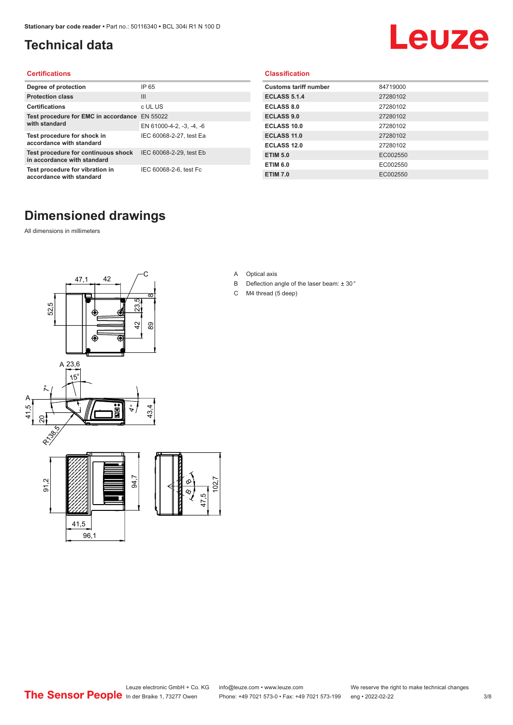## <span id="page-2-0"></span>**Technical data**

# Leuze

#### **Certifications**

| Degree of protection                                               | IP 65                    |
|--------------------------------------------------------------------|--------------------------|
| <b>Protection class</b>                                            | $\mathbf{III}$           |
| <b>Certifications</b>                                              | c UL US                  |
| Test procedure for EMC in accordance                               | EN 55022                 |
| with standard                                                      | EN 61000-4-2, -3, -4, -6 |
| Test procedure for shock in<br>accordance with standard            | IEC 60068-2-27, test Ea  |
| Test procedure for continuous shock<br>in accordance with standard | IEC 60068-2-29, test Eb  |
| Test procedure for vibration in<br>accordance with standard        | IEC 60068-2-6, test Fc   |

#### **Classification**

| <b>Customs tariff number</b> | 84719000 |
|------------------------------|----------|
| <b>ECLASS 5.1.4</b>          | 27280102 |
| <b>ECLASS 8.0</b>            | 27280102 |
| <b>ECLASS 9.0</b>            | 27280102 |
| ECLASS 10.0                  | 27280102 |
| <b>ECLASS 11.0</b>           | 27280102 |
| ECLASS 12.0                  | 27280102 |
| <b>ETIM 5.0</b>              | EC002550 |
| <b>ETIM 6.0</b>              | EC002550 |
| <b>ETIM 7.0</b>              | EC002550 |

### **Dimensioned drawings**

All dimensions in millimeters



- A Optical axis
- B Deflection angle of the laser beam: ± 30 °
- C M4 thread (5 deep)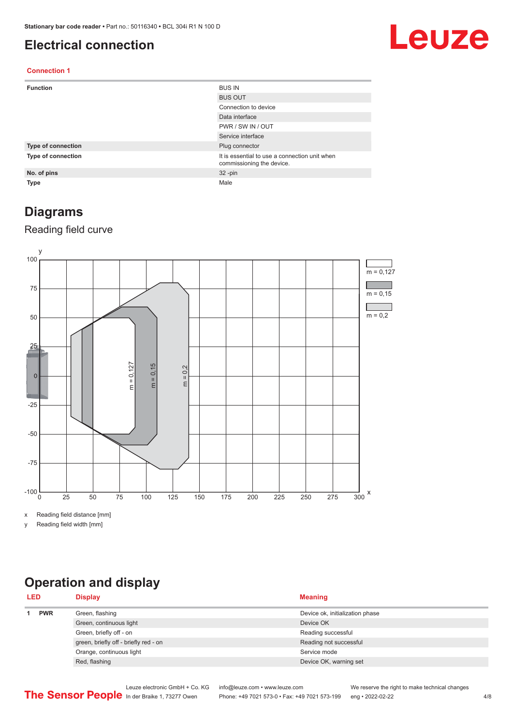#### <span id="page-3-0"></span>**Electrical connection**

# Leuze

#### **Connection 1**

| <b>Function</b>    | <b>BUS IN</b>                                                              |
|--------------------|----------------------------------------------------------------------------|
|                    | <b>BUS OUT</b>                                                             |
|                    | Connection to device                                                       |
|                    | Data interface                                                             |
|                    | PWR / SW IN / OUT                                                          |
|                    | Service interface                                                          |
| Type of connection | Plug connector                                                             |
| Type of connection | It is essential to use a connection unit when<br>commissioning the device. |
| No. of pins        | $32 - pin$                                                                 |
| <b>Type</b>        | Male                                                                       |

#### **Diagrams**

#### Reading field curve



x Reading field distance [mm]

y Reading field width [mm]

# **Operation and display**

| <b>PWR</b><br>Green, flashing<br>Device ok, initialization phase<br>Green, continuous light<br>Device OK | <b>LED</b> | <b>Display</b>          | <b>Meaning</b>     |  |
|----------------------------------------------------------------------------------------------------------|------------|-------------------------|--------------------|--|
|                                                                                                          |            |                         |                    |  |
|                                                                                                          |            |                         |                    |  |
|                                                                                                          |            | Green, briefly off - on | Reading successful |  |
| green, briefly off - briefly red - on<br>Reading not successful                                          |            |                         |                    |  |
| Orange, continuous light<br>Service mode                                                                 |            |                         |                    |  |
| Red, flashing<br>Device OK, warning set                                                                  |            |                         |                    |  |

Leuze electronic GmbH + Co. KG info@leuze.com • www.leuze.com We reserve the right to make technical changes<br>
The Sensor People in der Braike 1, 73277 Owen Phone: +49 7021 573-0 • Fax: +49 7021 573-199 eng • 2022-02-22 Phone: +49 7021 573-0 • Fax: +49 7021 573-199 eng • 2022-02-22 4/8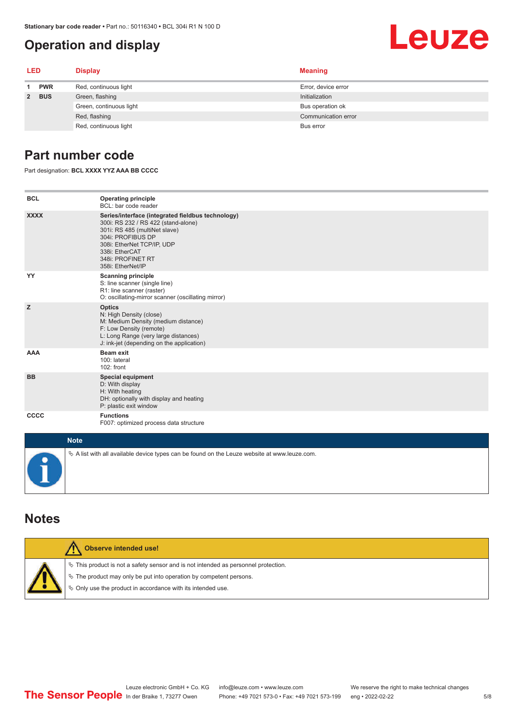### **Operation and display**

## <span id="page-4-0"></span>Leuze **LED Display Meaning 1 PWR** Red, continuous light **Error**, device error **2 BUS** Green, flashing **Initialization** Initialization Green, continuous light **Bus operation of** Bus operation ok

Red, flashing **Communication error** communication error communication error communication error

Red, continuous light Bus error

#### **Part number code**

Part designation: **BCL XXXX YYZ AAA BB CCCC**

| <b>BCL</b>  | <b>Operating principle</b><br>BCL: bar code reader                                                                                                                                                                                       |
|-------------|------------------------------------------------------------------------------------------------------------------------------------------------------------------------------------------------------------------------------------------|
| <b>XXXX</b> | Series/interface (integrated fieldbus technology)<br>300i: RS 232 / RS 422 (stand-alone)<br>301i: RS 485 (multiNet slave)<br>304i: PROFIBUS DP<br>308i: EtherNet TCP/IP, UDP<br>338i: EtherCAT<br>348i: PROFINET RT<br>358i: EtherNet/IP |
| YY          | <b>Scanning principle</b><br>S: line scanner (single line)<br>R1: line scanner (raster)<br>O: oscillating-mirror scanner (oscillating mirror)                                                                                            |
| z           | <b>Optics</b><br>N: High Density (close)<br>M: Medium Density (medium distance)<br>F: Low Density (remote)<br>L: Long Range (very large distances)<br>J: ink-jet (depending on the application)                                          |
| AAA         | <b>Beam exit</b><br>100: lateral<br>102: front                                                                                                                                                                                           |
| <b>BB</b>   | <b>Special equipment</b><br>D: With display<br>H: With heating<br>DH: optionally with display and heating<br>P: plastic exit window                                                                                                      |
| <b>CCCC</b> | <b>Functions</b><br>F007: optimized process data structure                                                                                                                                                                               |
| <b>Note</b> |                                                                                                                                                                                                                                          |
|             | $\&$ A list with all available device types can be found on the Leuze website at www.leuze.com.                                                                                                                                          |

#### **Notes**

| Observe intended use!                                                                                                                                                                                                         |
|-------------------------------------------------------------------------------------------------------------------------------------------------------------------------------------------------------------------------------|
| $\%$ This product is not a safety sensor and is not intended as personnel protection.<br>$\&$ The product may only be put into operation by competent persons.<br>♦ Only use the product in accordance with its intended use. |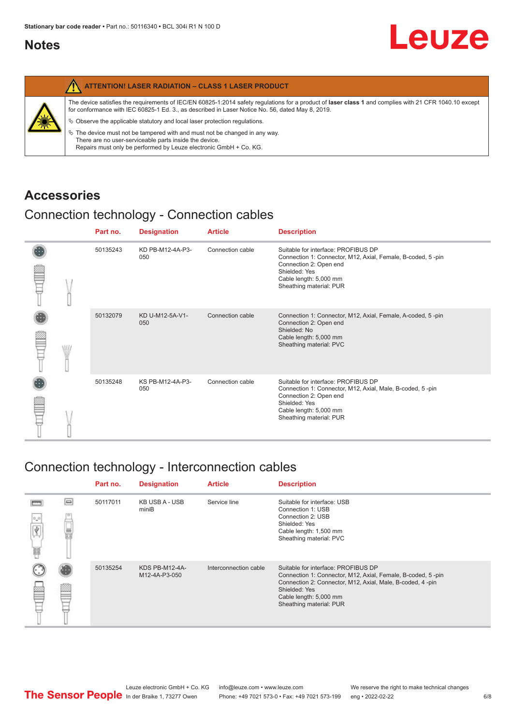#### <span id="page-5-0"></span>**Notes**

|   | <b>ATTENTION! LASER RADIATION - CLASS 1 LASER PRODUCT</b>                                                                                                                                                                                                  |
|---|------------------------------------------------------------------------------------------------------------------------------------------------------------------------------------------------------------------------------------------------------------|
|   | The device satisfies the requirements of IEC/EN 60825-1:2014 safety requlations for a product of laser class 1 and complies with 21 CFR 1040.10 except<br>for conformance with IEC 60825-1 Ed. 3., as described in Laser Notice No. 56, dated May 8, 2019. |
| 纂 | $\&$ Observe the applicable statutory and local laser protection regulations.                                                                                                                                                                              |
|   | $\%$ The device must not be tampered with and must not be changed in any way.<br>There are no user-serviceable parts inside the device.<br>Repairs must only be performed by Leuze electronic GmbH + Co. KG.                                               |

#### **Accessories**

### Connection technology - Connection cables

|  | Part no. | <b>Designation</b>      | <b>Article</b>   | <b>Description</b>                                                                                                                                                                                 |
|--|----------|-------------------------|------------------|----------------------------------------------------------------------------------------------------------------------------------------------------------------------------------------------------|
|  | 50135243 | KD PB-M12-4A-P3-<br>050 | Connection cable | Suitable for interface: PROFIBUS DP<br>Connection 1: Connector, M12, Axial, Female, B-coded, 5-pin<br>Connection 2: Open end<br>Shielded: Yes<br>Cable length: 5,000 mm<br>Sheathing material: PUR |
|  | 50132079 | KD U-M12-5A-V1-<br>050  | Connection cable | Connection 1: Connector, M12, Axial, Female, A-coded, 5-pin<br>Connection 2: Open end<br>Shielded: No<br>Cable length: 5,000 mm<br>Sheathing material: PVC                                         |
|  | 50135248 | KS PB-M12-4A-P3-<br>050 | Connection cable | Suitable for interface: PROFIBUS DP<br>Connection 1: Connector, M12, Axial, Male, B-coded, 5-pin<br>Connection 2: Open end<br>Shielded: Yes<br>Cable length: 5,000 mm<br>Sheathing material: PUR   |

#### Connection technology - Interconnection cables

|                            |        | Part no. | <b>Designation</b>              | <b>Article</b>        | <b>Description</b>                                                                                                                                                                                                                    |
|----------------------------|--------|----------|---------------------------------|-----------------------|---------------------------------------------------------------------------------------------------------------------------------------------------------------------------------------------------------------------------------------|
| $\Omega_{\mu} \Omega$<br>畐 | $\Box$ | 50117011 | <b>KB USB A - USB</b><br>miniB  | Service line          | Suitable for interface: USB<br>Connection 1: USB<br>Connection 2: USB<br>Shielded: Yes<br>Cable length: 1,500 mm<br>Sheathing material: PVC                                                                                           |
|                            |        | 50135254 | KDS PB-M12-4A-<br>M12-4A-P3-050 | Interconnection cable | Suitable for interface: PROFIBUS DP<br>Connection 1: Connector, M12, Axial, Female, B-coded, 5-pin<br>Connection 2: Connector, M12, Axial, Male, B-coded, 4-pin<br>Shielded: Yes<br>Cable length: 5,000 mm<br>Sheathing material: PUR |

Leuze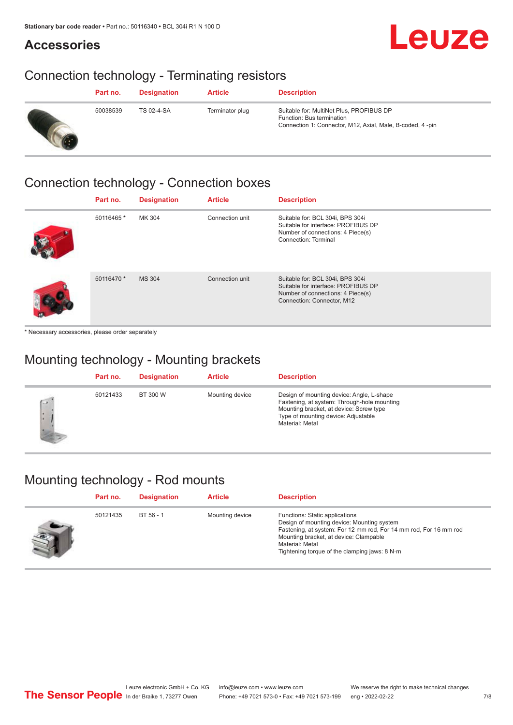# Leuze

# **Accessories**

## Connection technology - Terminating resistors

| Part no. | <b>Designation</b> | <b>Article</b>  | <b>Description</b>                                                                                                                 |
|----------|--------------------|-----------------|------------------------------------------------------------------------------------------------------------------------------------|
| 50038539 | TS 02-4-SA         | Terminator plug | Suitable for: MultiNet Plus, PROFIBUS DP<br>Function: Bus termination<br>Connection 1: Connector, M12, Axial, Male, B-coded, 4-pin |

### Connection technology - Connection boxes

| Part no.   | <b>Designation</b> | <b>Article</b>  | <b>Description</b>                                                                                                                         |
|------------|--------------------|-----------------|--------------------------------------------------------------------------------------------------------------------------------------------|
| 50116465 * | MK 304             | Connection unit | Suitable for: BCL 304i, BPS 304i<br>Suitable for interface: PROFIBUS DP<br>Number of connections: 4 Piece(s)<br>Connection: Terminal       |
| 50116470 * | <b>MS 304</b>      | Connection unit | Suitable for: BCL 304i, BPS 304i<br>Suitable for interface: PROFIBUS DP<br>Number of connections: 4 Piece(s)<br>Connection: Connector, M12 |

\* Necessary accessories, please order separately

## Mounting technology - Mounting brackets

|                   | Part no. | <b>Designation</b> | <b>Article</b>  | <b>Description</b>                                                                                                                                                                            |
|-------------------|----------|--------------------|-----------------|-----------------------------------------------------------------------------------------------------------------------------------------------------------------------------------------------|
| $\sqrt{2}$<br>I×. | 50121433 | BT 300 W           | Mounting device | Design of mounting device: Angle, L-shape<br>Fastening, at system: Through-hole mounting<br>Mounting bracket, at device: Screw type<br>Type of mounting device: Adjustable<br>Material: Metal |

# Mounting technology - Rod mounts

| Part no. | <b>Designation</b> | <b>Article</b>  | <b>Description</b>                                                                                                                                                                                                                                                |
|----------|--------------------|-----------------|-------------------------------------------------------------------------------------------------------------------------------------------------------------------------------------------------------------------------------------------------------------------|
| 50121435 | BT 56 - 1          | Mounting device | Functions: Static applications<br>Design of mounting device: Mounting system<br>Fastening, at system: For 12 mm rod, For 14 mm rod, For 16 mm rod<br>Mounting bracket, at device: Clampable<br>Material: Metal<br>Tightening torque of the clamping jaws: $8 N·m$ |